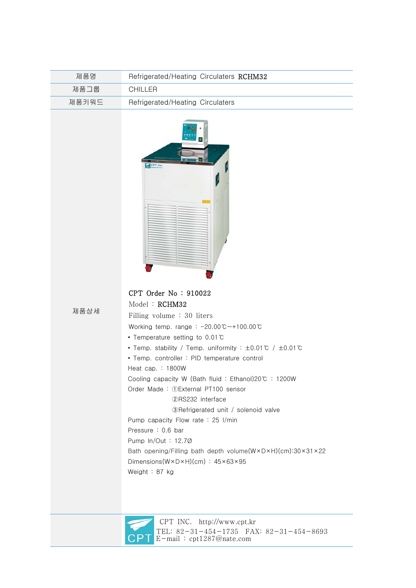| 제품명   | Refrigerated/Heating Circulaters RCHM32 |
|-------|-----------------------------------------|
| 제품그룹  | CHILLER.                                |
| 제품키워드 | Refrigerated/Heating Circulaters        |



제품상세

 Model : RCHM32 Filling volume : 30 liters Working temp. range : -20.00℃~+100.00℃ • Temperature setting to 0.01℃ • Temp. stability / Temp. uniformity : ±0.01℃ / ±0.01℃ • Temp. controller : PID temperature control Heat cap. : 1800W Cooling capacity W (Bath fluid : Ethanol)20℃ : 1200W Order Made : ①External PT100 sensor ②RS232 interface ③Refrigerated unit / solenoid valve Pump capacity Flow rate : 25 I/min Pressure : 0.6 bar Pump ln/Out : 12.7Ø Bath opening/Filling bath depth volume(W×D×H)(cm):30×31×22 Dimensions(W×D×H)(cm) : 45×63×95 Weight : 87 kg



 CPT INC. http://www.cpt.kr TEL: 82-31-454-1735 FAX: 82-31-454-8693 E-mail : cpt1287@nate.com